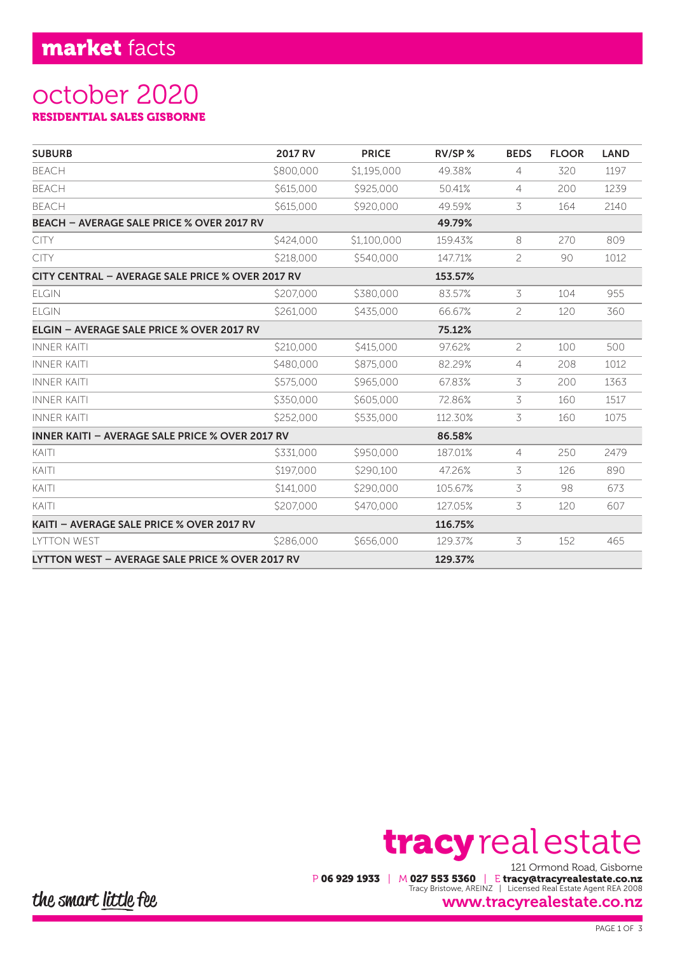## market facts

## october 2020 RESIDENTIAL SALES GISBORNE

| <b>SUBURB</b>                                          | <b>2017 RV</b> | <b>PRICE</b> | $RV/SP$ % | <b>BEDS</b>    | <b>FLOOR</b> | <b>LAND</b> |
|--------------------------------------------------------|----------------|--------------|-----------|----------------|--------------|-------------|
| <b>BEACH</b>                                           | \$800,000      | \$1,195,000  | 49.38%    | 4              | 320          | 1197        |
| <b>BEACH</b>                                           | \$615,000      | \$925,000    | 50.41%    | $\overline{4}$ | 200          | 1239        |
| <b>BEACH</b>                                           | \$615,000      | \$920,000    | 49.59%    | 3              | 164          | 2140        |
| <b>BEACH - AVERAGE SALE PRICE % OVER 2017 RV</b>       |                |              | 49.79%    |                |              |             |
| <b>CITY</b>                                            | \$424,000      | \$1,100,000  | 159.43%   | 8              | 270          | 809         |
| <b>CITY</b>                                            | \$218,000      | \$540,000    | 147.71%   | $\overline{c}$ | 90           | 1012        |
| CITY CENTRAL - AVERAGE SALE PRICE % OVER 2017 RV       |                |              | 153.57%   |                |              |             |
| <b>ELGIN</b>                                           | \$207,000      | \$380,000    | 83.57%    | 3              | 104          | 955         |
| <b>ELGIN</b>                                           | \$261,000      | \$435,000    | 66.67%    | 2              | 120          | 360         |
| ELGIN - AVERAGE SALE PRICE % OVER 2017 RV              |                |              | 75.12%    |                |              |             |
| <b>INNER KAITI</b>                                     | \$210,000      | \$415,000    | 97.62%    | $\overline{c}$ | 100          | 500         |
| <b>INNER KAITI</b>                                     | \$480,000      | \$875,000    | 82.29%    | 4              | 208          | 1012        |
| <b>INNER KAITI</b>                                     | \$575,000      | \$965,000    | 67.83%    | 3              | 200          | 1363        |
| <b>INNER KAITI</b>                                     | \$350,000      | \$605,000    | 72.86%    | 3              | 160          | 1517        |
| <b>INNER KAITI</b>                                     | \$252,000      | \$535,000    | 112.30%   | 3              | 160          | 1075        |
| <b>INNER KAITI - AVERAGE SALE PRICE % OVER 2017 RV</b> |                |              | 86.58%    |                |              |             |
| KAITI                                                  | \$331,000      | \$950,000    | 187.01%   | $\overline{4}$ | 250          | 2479        |
| KAITI                                                  | \$197,000      | \$290,100    | 47.26%    | 3              | 126          | 890         |
| KAITI                                                  | \$141,000      | \$290,000    | 105.67%   | 3              | 98           | 673         |
| KAITI                                                  | \$207,000      | \$470,000    | 127.05%   | 3              | 120          | 607         |
| KAITI - AVERAGE SALE PRICE % OVER 2017 RV              |                |              | 116.75%   |                |              |             |
| <b>LYTTON WEST</b>                                     | \$286,000      | \$656,000    | 129.37%   | 3              | 152          | 465         |
| LYTTON WEST - AVERAGE SALE PRICE % OVER 2017 RV        |                |              | 129.37%   |                |              |             |

# 121 Ormond Road, Gisborne tracy real estate

P 06 929 1933 | M 027 553 5360 | E tracy@tracyrealestate.co.nz Tracy Bristowe, AREINZ | Licensed Real Estate Agent REA 2008

#### www.tracyrealestate.co.nz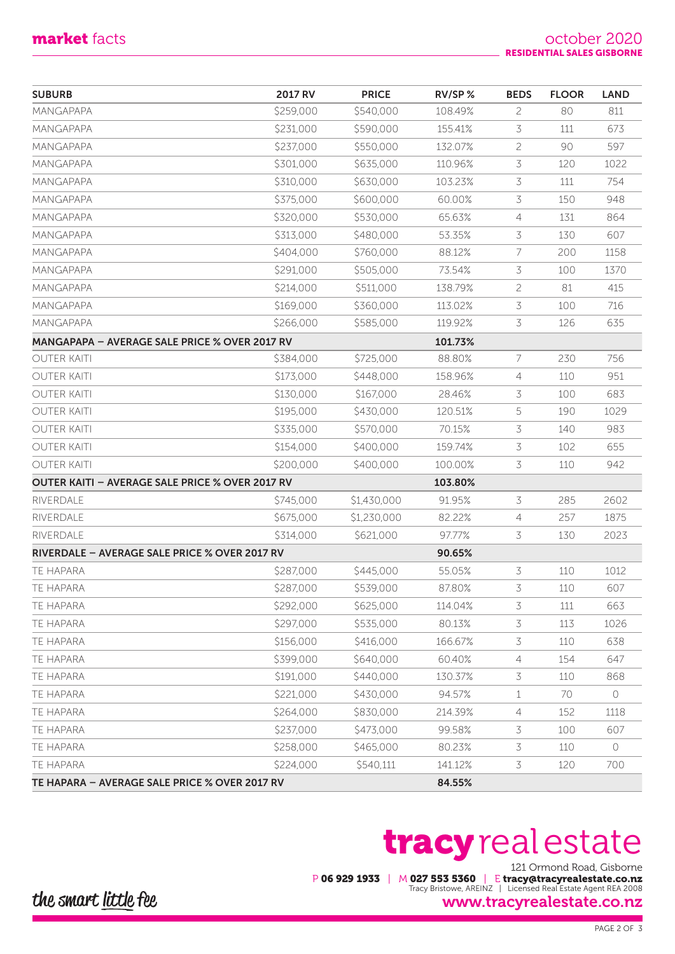| <b>SUBURB</b>                                   | <b>2017 RV</b> | <b>PRICE</b> | RV/SP%  | <b>BEDS</b>    | <b>FLOOR</b> | <b>LAND</b> |
|-------------------------------------------------|----------------|--------------|---------|----------------|--------------|-------------|
| <b>MANGAPAPA</b>                                | \$259,000      | \$540,000    | 108.49% | $\overline{2}$ | 80           | 811         |
| MANGAPAPA                                       | \$231,000      | \$590,000    | 155.41% | 3              | 111          | 673         |
| MANGAPAPA                                       | \$237,000      | \$550,000    | 132.07% | $\overline{c}$ | 90           | 597         |
| MANGAPAPA                                       | \$301,000      | \$635,000    | 110.96% | 3              | 120          | 1022        |
| MANGAPAPA                                       | \$310,000      | \$630,000    | 103.23% | 3              | 111          | 754         |
| MANGAPAPA                                       | \$375,000      | \$600,000    | 60.00%  | 3              | 150          | 948         |
| MANGAPAPA                                       | \$320,000      | \$530,000    | 65.63%  | 4              | 131          | 864         |
| <b>MANGAPAPA</b>                                | \$313,000      | \$480,000    | 53.35%  | 3              | 130          | 607         |
| MANGAPAPA                                       | \$404,000      | \$760,000    | 88.12%  | 7              | 200          | 1158        |
| MANGAPAPA                                       | \$291,000      | \$505,000    | 73.54%  | 3              | 100          | 1370        |
| MANGAPAPA                                       | \$214,000      | \$511,000    | 138.79% | $\overline{c}$ | 81           | 415         |
| MANGAPAPA                                       | \$169,000      | \$360,000    | 113.02% | 3              | 100          | 716         |
| MANGAPAPA                                       | \$266,000      | \$585,000    | 119.92% | 3              | 126          | 635         |
| MANGAPAPA - AVERAGE SALE PRICE % OVER 2017 RV   |                |              | 101.73% |                |              |             |
| <b>OUTER KAITI</b>                              | \$384,000      | \$725,000    | 88.80%  | 7              | 230          | 756         |
| <b>OUTER KAITI</b>                              | \$173,000      | \$448,000    | 158.96% | $\overline{4}$ | 110          | 951         |
| <b>OUTER KAITI</b>                              | \$130,000      | \$167,000    | 28.46%  | 3              | 100          | 683         |
| <b>OUTER KAITI</b>                              | \$195,000      | \$430,000    | 120.51% | 5              | 190          | 1029        |
| <b>OUTER KAITI</b>                              | \$335,000      | \$570,000    | 70.15%  | 3              | 140          | 983         |
| <b>OUTER KAITI</b>                              | \$154,000      | \$400,000    | 159.74% | 3              | 102          | 655         |
| <b>OUTER KAITI</b>                              | \$200,000      | \$400,000    | 100.00% | 3              | 110          | 942         |
| OUTER KAITI - AVERAGE SALE PRICE % OVER 2017 RV |                |              | 103.80% |                |              |             |
| RIVERDALE                                       | \$745,000      | \$1,430,000  | 91.95%  | 3              | 285          | 2602        |
| RIVERDALE                                       | \$675,000      | \$1,230,000  | 82.22%  | 4              | 257          | 1875        |
| <b>RIVERDALE</b>                                | \$314,000      | \$621,000    | 97.77%  | 3              | 130          | 2023        |
| RIVERDALE - AVERAGE SALE PRICE % OVER 2017 RV   |                |              | 90.65%  |                |              |             |
| <b>TE HAPARA</b>                                | \$287,000      | \$445,000    | 55.05%  | 3              | 110          | 1012        |
| TE HAPARA                                       | \$287,000      | \$539,000    | 87.80%  | 3              | 110          | 607         |
| <b>TE HAPARA</b>                                | \$292,000      | \$625,000    | 114.04% | 3              | 111          | 663         |
| <b>TE HAPARA</b>                                | \$297,000      | \$535,000    | 80.13%  | 3              | 113          | 1026        |
| <b>TE HAPARA</b>                                | \$156,000      | \$416,000    | 166.67% | 3              | 110          | 638         |
| <b>TE HAPARA</b>                                | \$399,000      | \$640,000    | 60.40%  | 4              | 154          | 647         |
| <b>TE HAPARA</b>                                | \$191,000      | \$440,000    | 130.37% | 3              | 110          | 868         |
| TE HAPARA                                       | \$221,000      | \$430,000    | 94.57%  | $\mathbf{1}$   | 70           | $\bigcirc$  |
| TE HAPARA                                       | \$264,000      | \$830,000    | 214.39% | 4              | 152          | 1118        |
| <b>TE HAPARA</b>                                | \$237,000      | \$473,000    | 99.58%  | 3              | 100          | 607         |
| <b>TE HAPARA</b>                                | \$258,000      | \$465,000    | 80.23%  | 3              | 110          | $\circ$     |
| TE HAPARA                                       | \$224,000      | \$540,111    | 141.12% | 3              | 120          | 700         |
| TE HAPARA - AVERAGE SALE PRICE % OVER 2017 RV   |                |              | 84.55%  |                |              |             |

## 121 Ormond Road, Gisborne tracy real estate

P 06 929 1933 | M 027 553 5360 | E tracy@tracyrealestate.co.nz Tracy Bristowe, AREINZ | Licensed Real Estate Agent REA 2008

the smart little fee

### www.tracyrealestate.co.nz